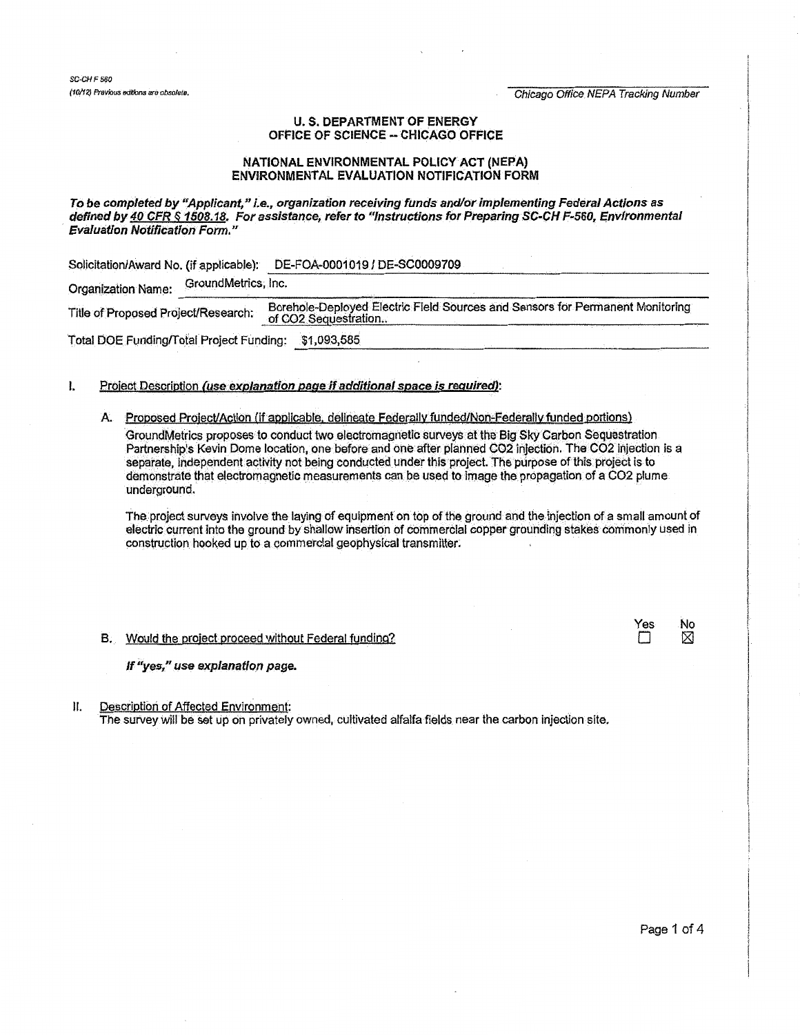*SC-CHF560* 

(10/12) Previous editions are obsolete. Chicago Office NEPA Tracking Number

## U.S. DEPARTMENT OF ENERGY OFFICE OF SCIENCE- CHICAGO OFFICE

### NATIONAL ENVIRONMENTAL POLICY ACT {NEPA) ENVIRONMENTAL EVALUATION NOTIFICATION FORM

To be completed *by* "Applicant," i.e., organization receiving funds and/or implementing Federal Actions as defined by 40 CFR § 1508.18. For assistance, refer to "Instructions for Preparing SC-CH F-560, Environmental Evaluation Notification Form."

Solicitation/Award No. (if applicable): <u>\_DE-FOA-0001019 / DE-SC0009709</u><br>Organization Name: GroundMetrics, Inc. Title of Proposed Project/Research: Borehole-Deployed Electric Field Sources and Sensors for Permanent Monitoring  $\frac{0~\text{COC}}{2~\text{e}q}$  beginning ...  $\frac{0~\text{COC}}{2~\text{e}q}$  ...  $\frac{0~\text{COC}}{2~\text{e}q}$ Total DOE Funding/Total Project Funding: \$1,093,585 ~~~-----------------------------------------------

## I. Project Description (use explanation page if additional space is required):

# A. Proposed Project/Action (if applicable, delineate Federally funded/Non-Federally funded portions)

GroundMetrics proposes to conduct two electromagnetic surveys at the Big Sky Carbon Sequestration Partnership's Kevin Dome location, one before and one after planned CO2 injection. The CO2 injection is a separate, independent activity not being conducted under this project. The purpose of this project is to demonstrate that electromagnetic measurements can be used to image the propagation of a C02 plume underground.

The project surveys involve the laying of equipment on top of the ground and the injection of a small amount of electric current into the ground by shallow insertion of commercial copper grounding stakes commonly used in construction hooked up to a commercial geophysical transmitter.

#### B. Would the project proceed without Federal funding?  $\Box$

If "yes," use explanation page.

II. Description of Affected Environment: The survey Will be set lip on privately owned, cultivated alfalfa fields near the carbon injection site. Yes No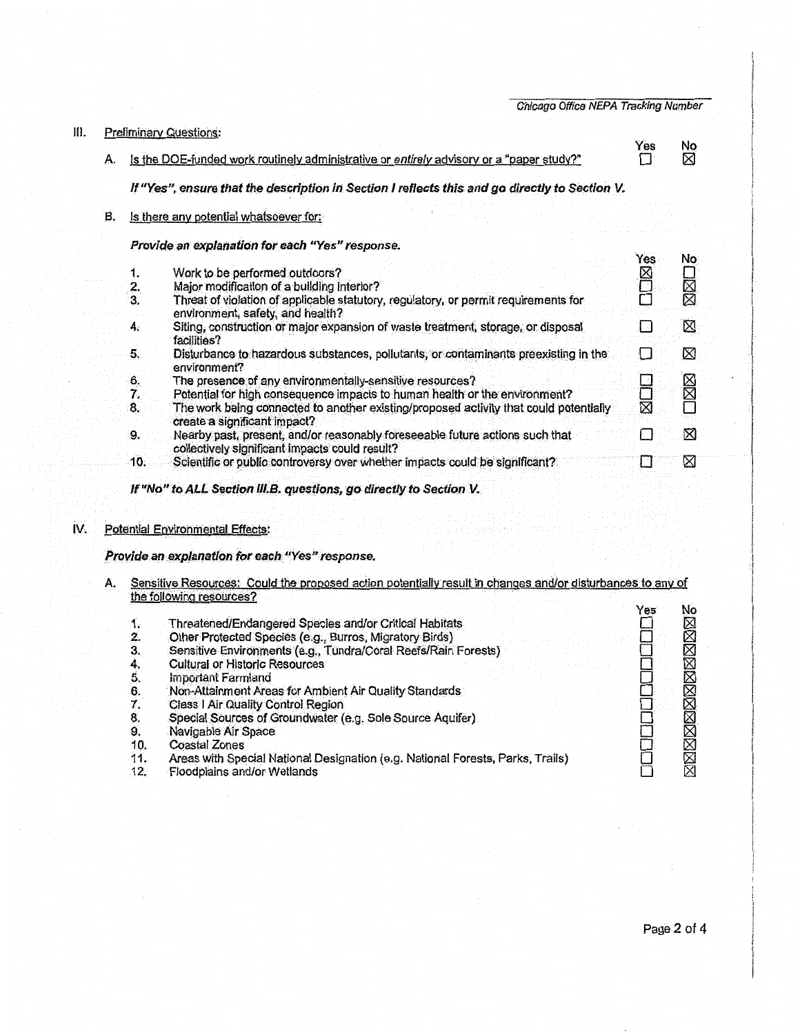|      |    |                | Chicago Office NEPA Tracking Number                                                                                            |     |         |
|------|----|----------------|--------------------------------------------------------------------------------------------------------------------------------|-----|---------|
| III. |    |                | <b>Preliminary Questions:</b>                                                                                                  |     |         |
|      | А. |                | Is the DOE-funded work routinely administrative or entirely advisory or a "paper study?"                                       | Yes | No<br>⊠ |
|      |    |                | If "Yes", ensure that the description in Section I reflects this and go directly to Section V.                                 |     |         |
|      | B. |                | Is there any potential whatsoever for:                                                                                         |     |         |
|      |    |                | Provide an explanation for each "Yes" response.                                                                                |     |         |
|      |    |                |                                                                                                                                | Yes | No.     |
|      |    | 1.<br>2.       | Work to be performed outdoors?<br>Major modification of a building interior?                                                   | ⊠   | N<br>XI |
|      |    | 3.             | Threat of violation of applicable statutory, regulatory, or permit requirements for                                            |     |         |
|      |    |                | environment, safety, and health?                                                                                               |     |         |
|      |    | 4.             | Siting, construction or major expansion of waste treatment, storage, or disposal<br>facilities?                                | L   | ⊠       |
|      |    | 5.             | Disturbance to hazardous substances, pollutants, or contaminants preexisting in the<br>environment?                            |     | ⊠       |
|      |    |                | The presence of any environmentally-sensitive resources?                                                                       |     | D X X   |
|      |    | 6.<br>7.<br>8. | Potential for high consequence impacts to human health or the environment?                                                     | 口区区 |         |
|      |    |                | The work being connected to another existing/proposed activity that could potentially<br>create a significant impact?          |     |         |
|      |    | 9.             | Nearby past, present, and/or reasonably foreseeable future actions such that<br>collectively significant impacts could result? | t I | ⊠       |
|      |    | 10.            | Scientific or public controversy over whether impacts could be significant?                                                    |     | ⊠       |

If "No" to ALL Section III.B. questions, go directly to Section V.

# IV. Potential Environmental Effects:

# Provide an explanation for each "Yes" response.

A. Sensitive Resources: Could the proposed action potentially result in changes and/or disturbances to any of the following resources? **In the following resources** 

|     |                                                                                 | Yes | No |
|-----|---------------------------------------------------------------------------------|-----|----|
| 1.  | Threatened/Endangered Species and/or Critical Habitats                          |     |    |
| 2.  | Other Protected Species (e.g., Burros, Migratory Birds)                         |     |    |
| 3.  | Sensitive Environments (e.g., Tundra/Coral Reefs/Rain Forests)                  |     |    |
|     | Cultural or Historic Resources                                                  |     |    |
|     | Important Farmland                                                              |     |    |
| 6.  | Non-Attainment Areas for Ambient Air Quality Standards                          |     |    |
|     | Class I Air Quality Control Region                                              |     |    |
| 8.  | Special Sources of Groundwater (e.g. Sole Source Aquifer)                       |     |    |
| 9.  | Navigable Air Space                                                             |     |    |
| 10. | Coastal Zones                                                                   |     |    |
| 11. | Areas with Special National Designation (e.g. National Forests, Parks, Trails). |     |    |
| 12. | Floodplains and/or Wetlands                                                     |     |    |
|     |                                                                                 |     |    |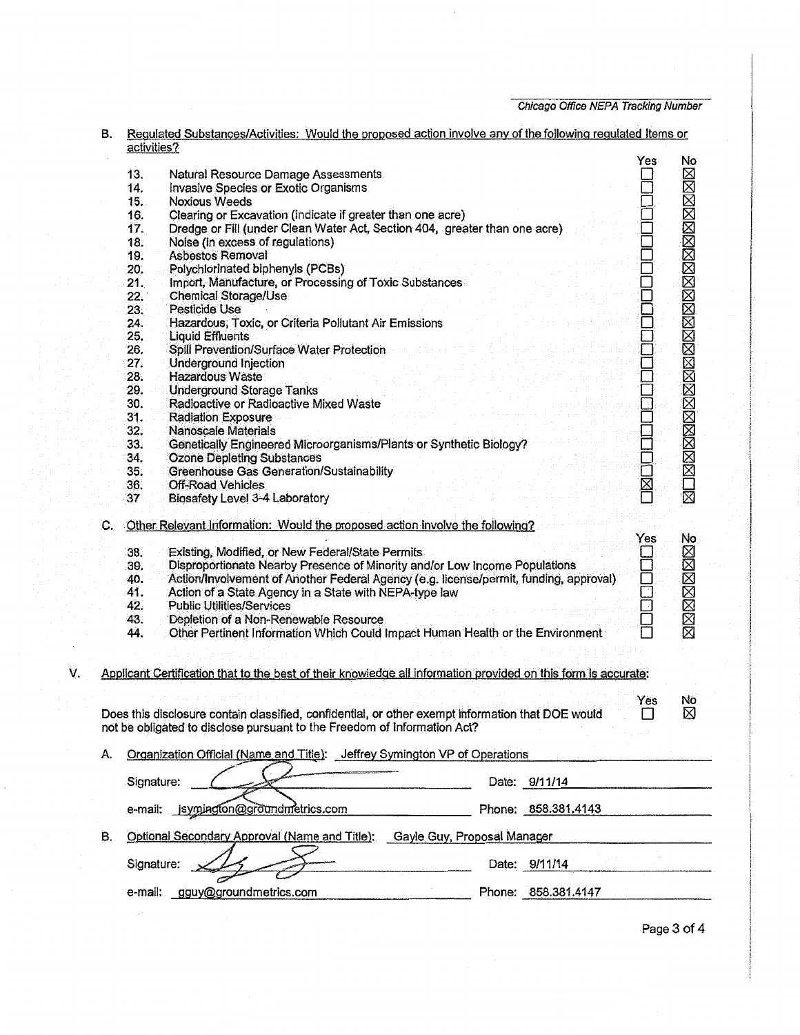Chicago Office N£PA Tracking Number

|                                                                                  | В. |                                                                                     | Regulated Substances/Activities: Would the proposed action involve any of the following regulated Items or<br>activities? |                        |  |  |
|----------------------------------------------------------------------------------|----|-------------------------------------------------------------------------------------|---------------------------------------------------------------------------------------------------------------------------|------------------------|--|--|
|                                                                                  |    |                                                                                     | Yes                                                                                                                       | No                     |  |  |
|                                                                                  |    | 13.                                                                                 | Natural Resource Damage Assessments                                                                                       |                        |  |  |
|                                                                                  |    | 14.                                                                                 | Invasive Species or Exotic Organisms                                                                                      |                        |  |  |
|                                                                                  |    | 15.                                                                                 | <b>Noxious Weeds</b>                                                                                                      | MOMMMMMMMMMMMMMMMMMMMM |  |  |
|                                                                                  |    | 16.                                                                                 | Clearing or Excavation (indicate if greater than one acre)                                                                |                        |  |  |
|                                                                                  |    | 17.                                                                                 | Dredge or Fill (under Clean Water Act, Section 404, greater than one acre)                                                |                        |  |  |
|                                                                                  |    | 18.                                                                                 | Noise (in excess of regulations)                                                                                          |                        |  |  |
|                                                                                  |    | 19.                                                                                 | <b>Asbestos Removal</b>                                                                                                   |                        |  |  |
|                                                                                  |    | 20.                                                                                 | Polychlorinated biphenyls (PCBs)                                                                                          |                        |  |  |
|                                                                                  |    | 21.                                                                                 | Import, Manufacture, or Processing of Toxic Substances                                                                    |                        |  |  |
|                                                                                  |    | 22.7                                                                                | Chemical Storage/Use                                                                                                      |                        |  |  |
|                                                                                  |    | 23.                                                                                 | Pesticide Use                                                                                                             |                        |  |  |
|                                                                                  |    | 24.                                                                                 |                                                                                                                           |                        |  |  |
|                                                                                  |    |                                                                                     | Hazardous, Toxic, or Criteria Pollutant Air Emissions                                                                     |                        |  |  |
|                                                                                  |    | 25.                                                                                 | <b>Liquid Effluents</b>                                                                                                   |                        |  |  |
|                                                                                  |    | 26.                                                                                 | Spill Prevention/Surface Water Protection                                                                                 |                        |  |  |
|                                                                                  |    | 27.                                                                                 | Underground Injection                                                                                                     |                        |  |  |
|                                                                                  |    | 28.                                                                                 | <b>Hazardous Waste</b>                                                                                                    |                        |  |  |
|                                                                                  |    | 29.                                                                                 | $\Box$<br><b>Underground Storage Tanks</b>                                                                                |                        |  |  |
|                                                                                  |    | 30.                                                                                 | Radioactive or Radioactive Mixed Waste                                                                                    |                        |  |  |
|                                                                                  |    | 31.                                                                                 | <b>Radiation Exposure</b>                                                                                                 |                        |  |  |
|                                                                                  |    | 32.                                                                                 | <b>Nanoscale Materials</b>                                                                                                |                        |  |  |
|                                                                                  |    | 33.                                                                                 | Genetically Engineered Microorganisms/Plants or Synthetic Biology?                                                        |                        |  |  |
|                                                                                  |    | 34.                                                                                 | <b>Ozone Depleting Substances</b>                                                                                         |                        |  |  |
|                                                                                  |    | 35.                                                                                 | Greenhouse Gas Generation/Sustainability                                                                                  |                        |  |  |
|                                                                                  |    | 36.                                                                                 | <b>HOLDING</b><br>Off-Road Vehicles                                                                                       |                        |  |  |
|                                                                                  |    | 37                                                                                  | Biosafety Level 3-4 Laboratory                                                                                            |                        |  |  |
|                                                                                  | С. | Other Relevant Information: Would the proposed action involve the following?<br>Yes |                                                                                                                           |                        |  |  |
|                                                                                  |    | 38.                                                                                 | Existing, Modified, or New Federal/State Permits                                                                          |                        |  |  |
|                                                                                  |    | 39.                                                                                 | Disproportionate Nearby Presence of Minority and/or Low Income Populations                                                |                        |  |  |
|                                                                                  |    | 40.                                                                                 | Action/Involvement of Another Federal Agency (e.g. license/permit, funding, approval)                                     |                        |  |  |
|                                                                                  |    | 41.                                                                                 | 0<br>0<br>0<br>0<br>Action of a State Agency in a State with NEPA-type law                                                |                        |  |  |
|                                                                                  |    | 42.                                                                                 | Public Utilities/Services                                                                                                 |                        |  |  |
|                                                                                  |    | 43.                                                                                 | Depletion of a Non-Renewable Resource                                                                                     |                        |  |  |
|                                                                                  |    | 44.                                                                                 | Other Pertinent Information Which Could Impact Human Health or the Environment                                            | SZKKKKK                |  |  |
|                                                                                  |    |                                                                                     |                                                                                                                           |                        |  |  |
| V.                                                                               |    |                                                                                     | Applicant Certification that to the best of their knowledge all information provided on this form is accurate:            |                        |  |  |
|                                                                                  |    |                                                                                     |                                                                                                                           |                        |  |  |
|                                                                                  |    |                                                                                     | Yes<br>Does this disclosure contain classified, confidential, or other exempt information that DOE would                  | No.<br>⊠               |  |  |
|                                                                                  |    |                                                                                     | not be obligated to disclose pursuant to the Freedom of Information Act?                                                  |                        |  |  |
| Organization Official (Name and Title): Jeffrey Symington VP of Operations<br>А. |    |                                                                                     |                                                                                                                           |                        |  |  |
|                                                                                  |    |                                                                                     |                                                                                                                           |                        |  |  |
|                                                                                  |    | Signature:                                                                          | Date: 9/11/14                                                                                                             |                        |  |  |
|                                                                                  |    |                                                                                     | e-mail: jsymington@groundmetrics.com<br>Phone: 858.381.4143                                                               |                        |  |  |
| В.                                                                               |    | Optional Secondary Approval (Name and Title): Gayle Guy, Proposal Manager           |                                                                                                                           |                        |  |  |
|                                                                                  |    |                                                                                     |                                                                                                                           |                        |  |  |
|                                                                                  |    | Signature:                                                                          | Date: 9/11/14                                                                                                             |                        |  |  |
|                                                                                  |    |                                                                                     |                                                                                                                           |                        |  |  |
| gguy@groundmetrics.com<br>e-mail:                                                |    |                                                                                     | Phone: 858.381.4147                                                                                                       |                        |  |  |

Page 3 of 4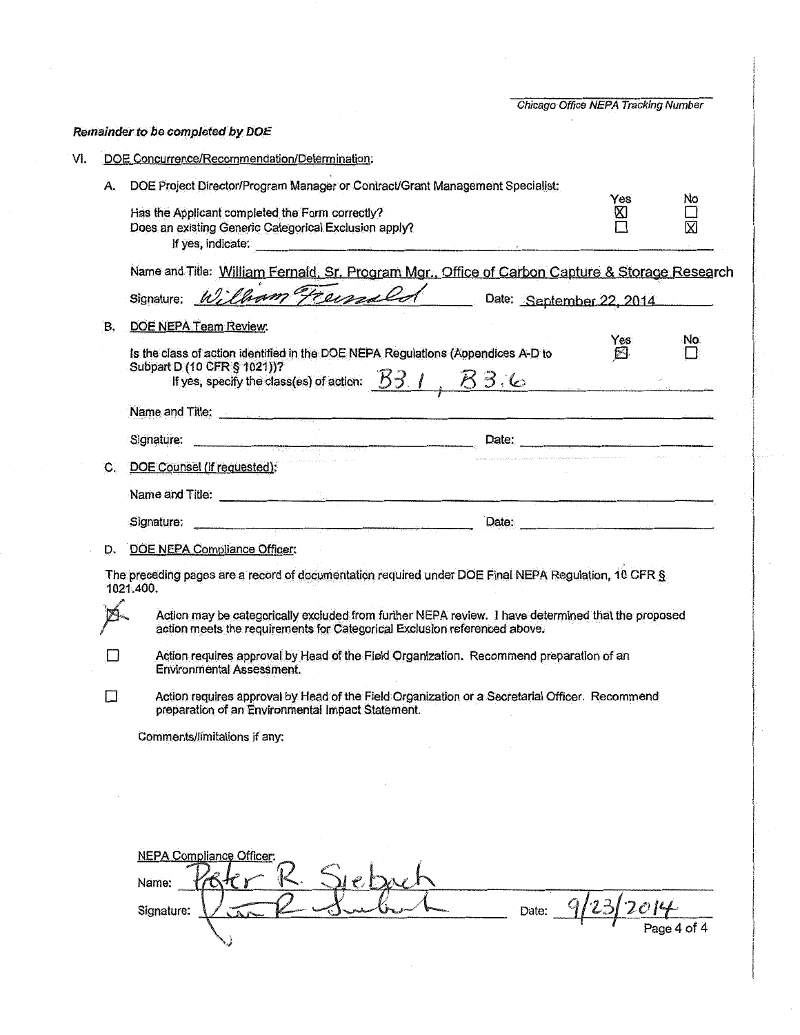|        |                                                                                                                                                                                                                                                    | Chicago Office NEPA Tracking Number |               |
|--------|----------------------------------------------------------------------------------------------------------------------------------------------------------------------------------------------------------------------------------------------------|-------------------------------------|---------------|
|        | Remainder to be completed by DOE                                                                                                                                                                                                                   |                                     |               |
|        | DOE Concurrence/Recommendation/Determination:                                                                                                                                                                                                      |                                     |               |
| А.     | DOE Project Director/Program Manager or Contract/Grant Management Specialist:                                                                                                                                                                      |                                     |               |
|        | Has the Applicant completed the Form correctly?<br>Does an existing Generic Categorical Exclusion apply?<br>If yes, indicate:                                                                                                                      | Yes<br>⊠                            | No<br>Ń.      |
|        | Name and Title: William Fernald, Sr. Program Mgr., Office of Carbon Capture & Storage Research<br>William Freissald                                                                                                                                |                                     |               |
|        | Signature;<br>Date: September 22, 2014                                                                                                                                                                                                             |                                     |               |
| В.     | DOE NEPA Team Review:<br>Is the class of action identified in the DOE NEPA Regulations (Appendices A-D to<br>Subpart D (10 CFR § 1021))?<br>If yes, specify the class(es) of action: $\overline{B3.1}$ , $\overline{B3.3}$                         | Yes<br>8                            | No.<br>$\Box$ |
|        | Name and Title: example and Title:                                                                                                                                                                                                                 |                                     |               |
|        | Signature:                                                                                                                                                                                                                                         |                                     |               |
| C.     | DOE Counsel (if requested):                                                                                                                                                                                                                        |                                     |               |
|        | Name and Title:                                                                                                                                                                                                                                    |                                     |               |
|        | <u>Date: Date: Date: Date: Date: Date: Date: Date: Date: Date: Date: Date: Date: Date: Date: Date: Date: Date: Date: Date: Date: Date: Date: Date: Date: Date: Date: Date: Date: Date: Date: Date: Date: Date: Date: Date: Date:</u><br>Signature: |                                     |               |
| D.     | DOE NEPA Compliance Officer:                                                                                                                                                                                                                       |                                     |               |
|        | The preceding pages are a record of documentation required under DOE Final NEPA Regulation, 10 CFR §<br>1021.400.                                                                                                                                  |                                     |               |
|        |                                                                                                                                                                                                                                                    |                                     |               |
|        | Action may be categorically excluded from further NEPA review. I have determined that the proposed<br>action meets the requirements for Categorical Exclusion referenced above.                                                                    |                                     |               |
|        | Action requires approval by Head of the Field Organization. Recommend preparation of an<br><b>Environmental Assessment.</b>                                                                                                                        |                                     |               |
|        | Action requires approval by Head of the Field Organization or a Secretarial Officer. Recommend<br>preparation of an Environmental Impact Statement.                                                                                                |                                     |               |
|        | Comments/limitations if any:                                                                                                                                                                                                                       |                                     |               |
|        |                                                                                                                                                                                                                                                    |                                     |               |
|        |                                                                                                                                                                                                                                                    |                                     |               |
| $\Box$ |                                                                                                                                                                                                                                                    |                                     |               |
|        | <b>NEPA Compliance Officer:</b><br>Name:                                                                                                                                                                                                           |                                     |               |

 $\mathbb{I}$ 

I

 $\overline{\phantom{a}}$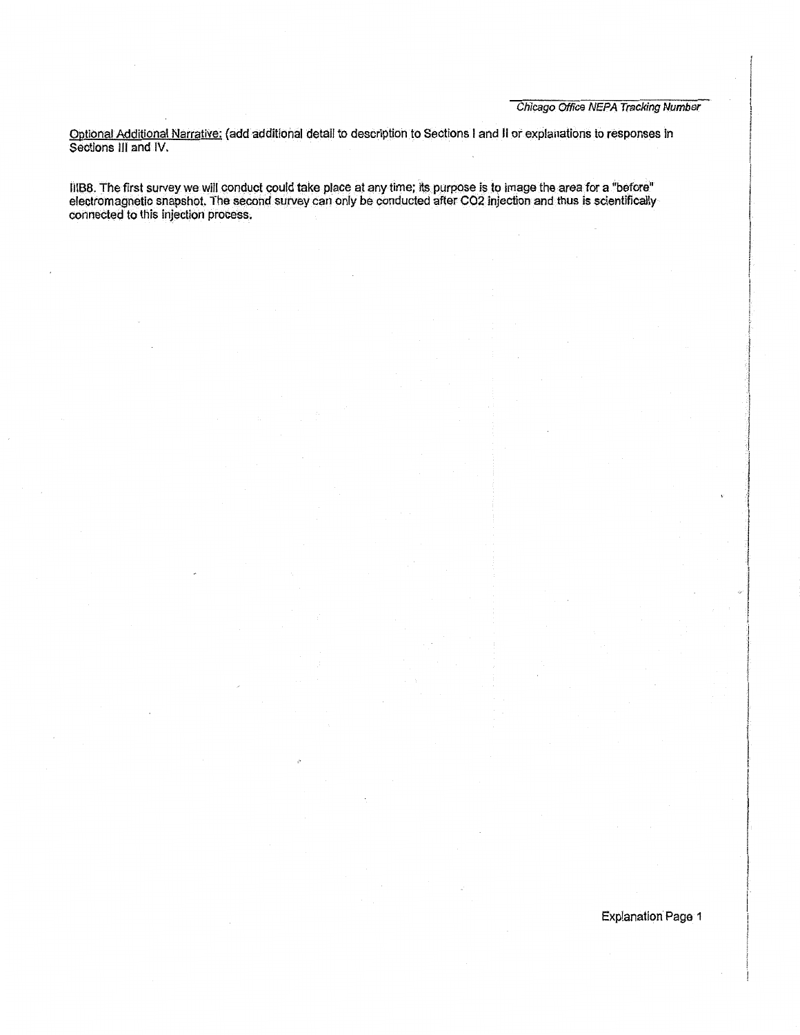Optional Additional NarratiVe: (add additional detail to description to Sections I and II *ot* explanations to responses In Sections Ill and IV.

IIIBB. The first survey we will conduct could take place at any time; its purpose is to image the area for a "before" electromagnetic snapshot. The second survey can only be conducted after **C02** injection and thus is scientifically connected to this injection process.

Explanation Page 1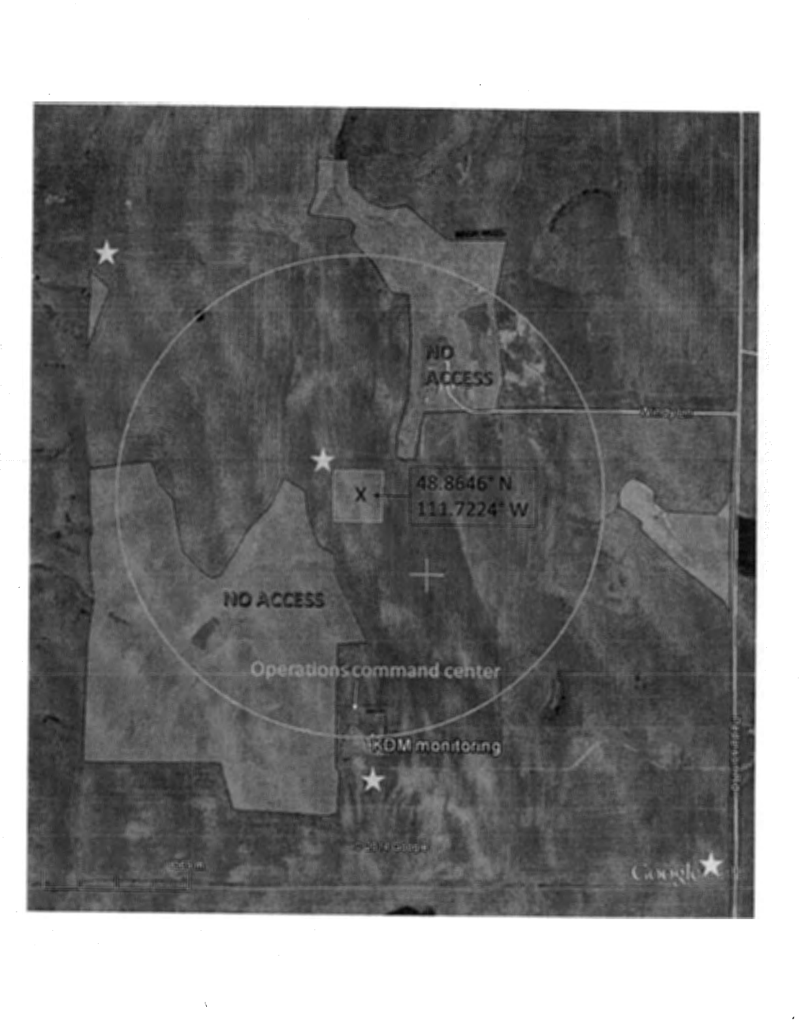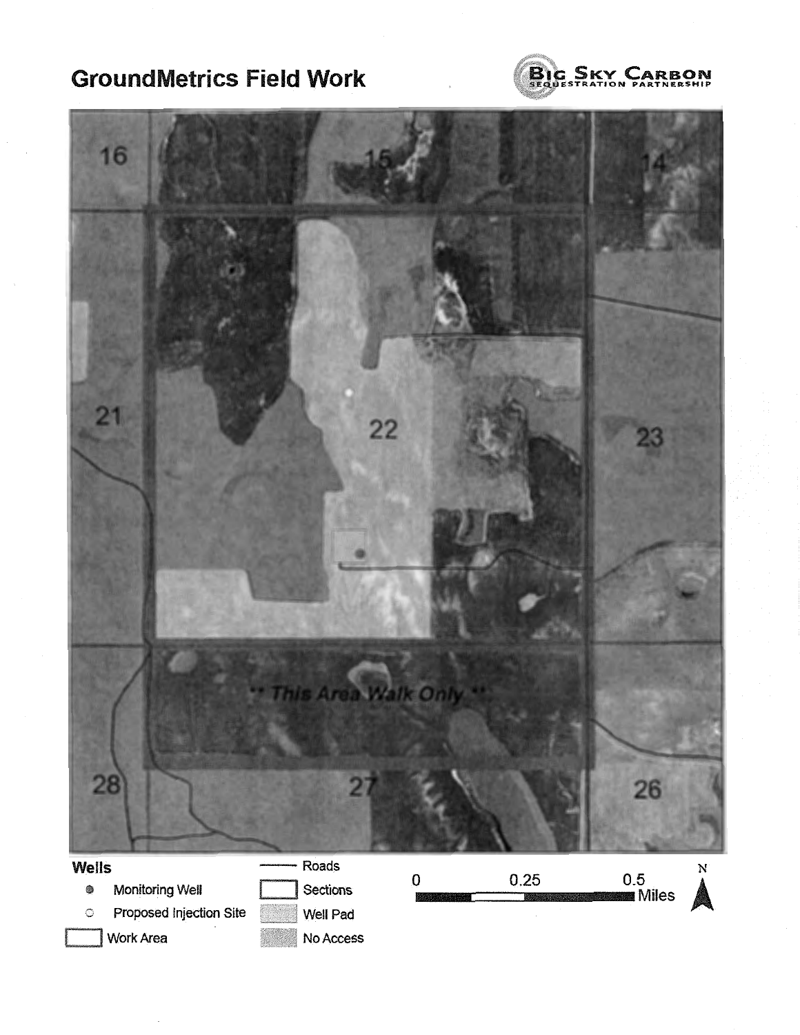# GroundMetrics Field **Work**





Work Area No Access